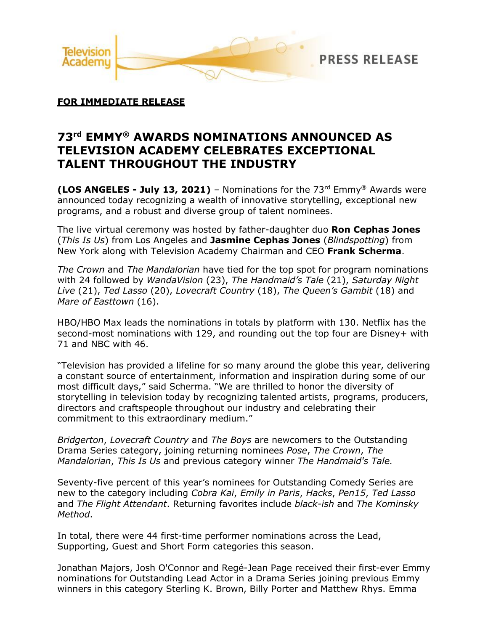

## **FOR IMMEDIATE RELEASE**

# **73rd EMMY® AWARDS NOMINATIONS ANNOUNCED AS TELEVISION ACADEMY CELEBRATES EXCEPTIONAL TALENT THROUGHOUT THE INDUSTRY**

**(LOS ANGELES - July 13, 2021)** – Nominations for the 73rd Emmy® Awards were announced today recognizing a wealth of innovative storytelling, exceptional new programs, and a robust and diverse group of talent nominees.

The live virtual ceremony was hosted by father-daughter duo **Ron Cephas Jones** (*This Is Us*) from Los Angeles and **Jasmine Cephas Jones** (*Blindspotting*) from New York along with Television Academy Chairman and CEO **Frank Scherma**.

*The Crown* and *The Mandalorian* have tied for the top spot for program nominations with 24 followed by *WandaVision* (23), *The Handmaid's Tale* (21), *Saturday Night Live* (21), *Ted Lasso* (20), *Lovecraft Country* (18), *The Queen's Gambit* (18) and *Mare of Easttown* (16).

HBO/HBO Max leads the nominations in totals by platform with 130. Netflix has the second-most nominations with 129, and rounding out the top four are Disney+ with 71 and NBC with 46.

"Television has provided a lifeline for so many around the globe this year, delivering a constant source of entertainment, information and inspiration during some of our most difficult days," said Scherma. "We are thrilled to honor the diversity of storytelling in television today by recognizing talented artists, programs, producers, directors and craftspeople throughout our industry and celebrating their commitment to this extraordinary medium."

*Bridgerton*, *Lovecraft Country* and *The Boys* are newcomers to the Outstanding Drama Series category, joining returning nominees *Pose*, *The Crown*, *The Mandalorian*, *This Is Us* and previous category winner *The Handmaid's Tale.*

Seventy-five percent of this year's nominees for Outstanding Comedy Series are new to the category including *Cobra Kai*, *Emily in Paris*, *Hacks*, *Pen15*, *Ted Lasso* and *The Flight Attendant*. Returning favorites include *black-ish* and *The Kominsky Method*.

In total, there were 44 first-time performer nominations across the Lead, Supporting, Guest and Short Form categories this season.

Jonathan Majors, Josh O'Connor and Regé-Jean Page received their first-ever Emmy nominations for Outstanding Lead Actor in a Drama Series joining previous Emmy winners in this category Sterling K. Brown, Billy Porter and Matthew Rhys. Emma